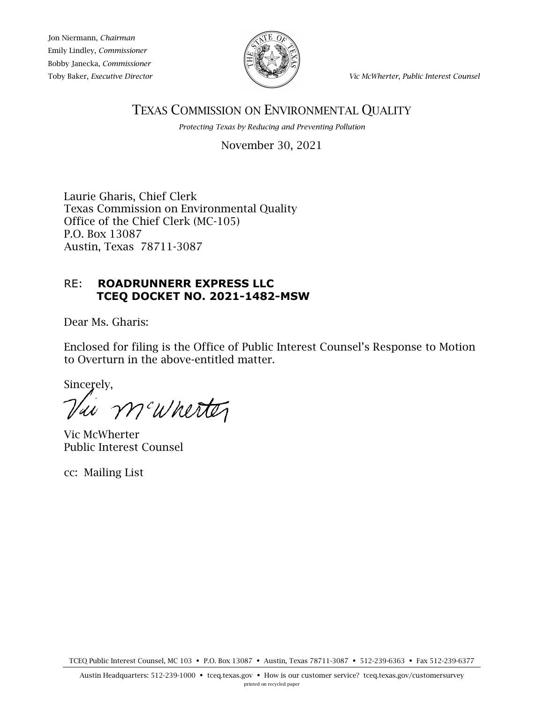Jon Niermann, *Chairman* Emily Lindley, *Commissioner* Bobby Janecka, *Commissioner*



Toby Baker, *Executive Director Vic McWherter*, *Public Interest Counsel*

# TEXAS COMMISSION ON ENVIRONMENTAL QUALITY

*Protecting Texas by Reducing and Preventing Pollution*

November 30, 2021

Laurie Gharis, Chief Clerk Texas Commission on Environmental Quality Office of the Chief Clerk (MC-105) P.O. Box 13087 Austin, Texas 78711-3087

# RE: **ROADRUNNERR EXPRESS LLC TCEQ DOCKET NO. 2021-1482-MSW**

Dear Ms. Gharis:

Enclosed for filing is the Office of Public Interest Counsel's Response to Motion to Overturn in the above-entitled matter.

Sincerely,

Via m'amertez

Vic McWherter Public Interest Counsel

cc: Mailing List

TCEQ Public Interest Counsel, MC 103 • P.O. Box 13087 • Austin, Texas 78711-3087 • 512-239-6363 • Fax 512-239-6377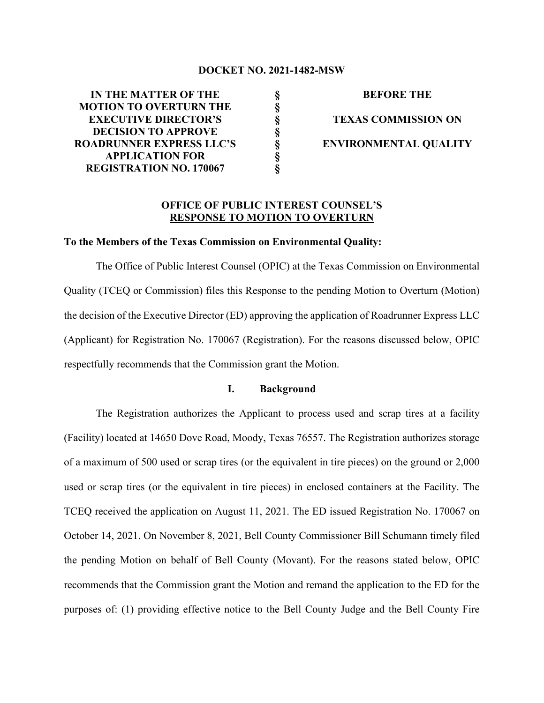#### **DOCKET NO. 2021-1482-MSW**

**§ § § § § § §**

**IN THE MATTER OF THE MOTION TO OVERTURN THE EXECUTIVE DIRECTOR'S DECISION TO APPROVE ROADRUNNER EXPRESS LLC'S APPLICATION FOR REGISTRATION NO. 170067**

**BEFORE THE TEXAS COMMISSION ON ENVIRONMENTAL QUALITY**

### **OFFICE OF PUBLIC INTEREST COUNSEL'S RESPONSE TO MOTION TO OVERTURN**

#### **To the Members of the Texas Commission on Environmental Quality:**

The Office of Public Interest Counsel (OPIC) at the Texas Commission on Environmental Quality (TCEQ or Commission) files this Response to the pending Motion to Overturn (Motion) the decision of the Executive Director (ED) approving the application of Roadrunner Express LLC (Applicant) for Registration No. 170067 (Registration). For the reasons discussed below, OPIC respectfully recommends that the Commission grant the Motion.

#### **I. Background**

The Registration authorizes the Applicant to process used and scrap tires at a facility (Facility) located at 14650 Dove Road, Moody, Texas 76557. The Registration authorizes storage of a maximum of 500 used or scrap tires (or the equivalent in tire pieces) on the ground or 2,000 used or scrap tires (or the equivalent in tire pieces) in enclosed containers at the Facility. The TCEQ received the application on August 11, 2021. The ED issued Registration No. 170067 on October 14, 2021. On November 8, 2021, Bell County Commissioner Bill Schumann timely filed the pending Motion on behalf of Bell County (Movant). For the reasons stated below, OPIC recommends that the Commission grant the Motion and remand the application to the ED for the purposes of: (1) providing effective notice to the Bell County Judge and the Bell County Fire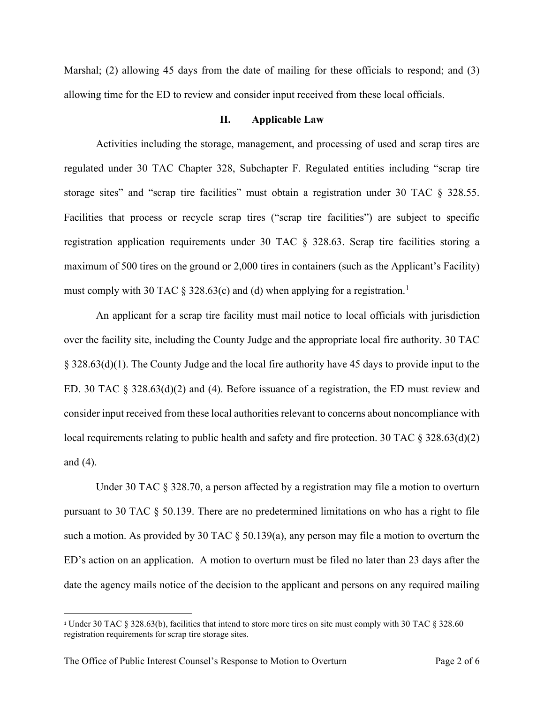Marshal; (2) allowing 45 days from the date of mailing for these officials to respond; and (3) allowing time for the ED to review and consider input received from these local officials.

#### **II. Applicable Law**

Activities including the storage, management, and processing of used and scrap tires are regulated under 30 TAC Chapter 328, Subchapter F. Regulated entities including "scrap tire storage sites" and "scrap tire facilities" must obtain a registration under 30 TAC § 328.55. Facilities that process or recycle scrap tires ("scrap tire facilities") are subject to specific registration application requirements under 30 TAC § 328.63. Scrap tire facilities storing a maximum of 500 tires on the ground or 2,000 tires in containers (such as the Applicant's Facility) must comply with 30 TAC  $\S$  328.63(c) and (d) when applying for a registration.<sup>[1](#page-2-0)</sup>

An applicant for a scrap tire facility must mail notice to local officials with jurisdiction over the facility site, including the County Judge and the appropriate local fire authority. 30 TAC § 328.63(d)(1). The County Judge and the local fire authority have 45 days to provide input to the ED. 30 TAC § 328.63(d)(2) and (4). Before issuance of a registration, the ED must review and consider input received from these local authorities relevant to concerns about noncompliance with local requirements relating to public health and safety and fire protection. 30 TAC  $\S 328.63(d)(2)$ and (4).

Under 30 TAC § 328.70, a person affected by a registration may file a motion to overturn pursuant to 30 TAC  $\S$  50.139. There are no predetermined limitations on who has a right to file such a motion. As provided by 30 TAC § 50.139(a), any person may file a motion to overturn the ED's action on an application. A motion to overturn must be filed no later than 23 days after the date the agency mails notice of the decision to the applicant and persons on any required mailing

<span id="page-2-0"></span><sup>1</sup> Under 30 TAC § 328.63(b), facilities that intend to store more tires on site must comply with 30 TAC § 328.60 registration requirements for scrap tire storage sites.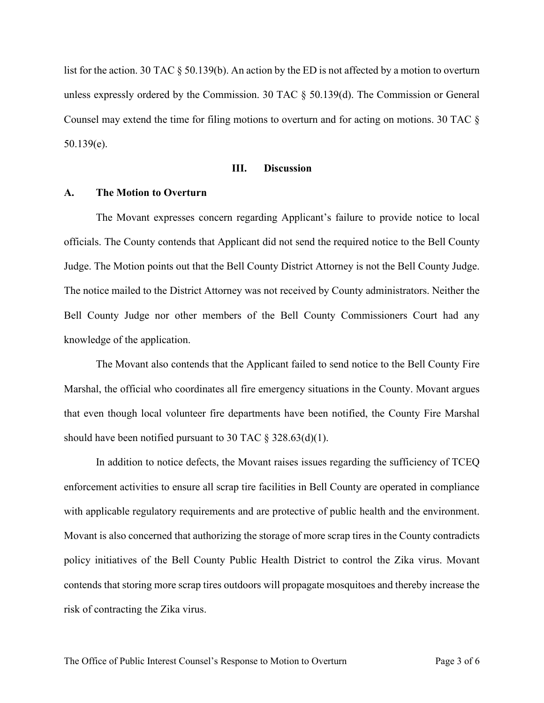list for the action. 30 TAC § 50.139(b). An action by the ED is not affected by a motion to overturn unless expressly ordered by the Commission. 30 TAC § 50.139(d). The Commission or General Counsel may extend the time for filing motions to overturn and for acting on motions. 30 TAC § 50.139(e).

#### **III. Discussion**

#### **A. The Motion to Overturn**

The Movant expresses concern regarding Applicant's failure to provide notice to local officials. The County contends that Applicant did not send the required notice to the Bell County Judge. The Motion points out that the Bell County District Attorney is not the Bell County Judge. The notice mailed to the District Attorney was not received by County administrators. Neither the Bell County Judge nor other members of the Bell County Commissioners Court had any knowledge of the application.

The Movant also contends that the Applicant failed to send notice to the Bell County Fire Marshal, the official who coordinates all fire emergency situations in the County. Movant argues that even though local volunteer fire departments have been notified, the County Fire Marshal should have been notified pursuant to 30 TAC  $\S$  328.63(d)(1).

In addition to notice defects, the Movant raises issues regarding the sufficiency of TCEQ enforcement activities to ensure all scrap tire facilities in Bell County are operated in compliance with applicable regulatory requirements and are protective of public health and the environment. Movant is also concerned that authorizing the storage of more scrap tires in the County contradicts policy initiatives of the Bell County Public Health District to control the Zika virus. Movant contends that storing more scrap tires outdoors will propagate mosquitoes and thereby increase the risk of contracting the Zika virus.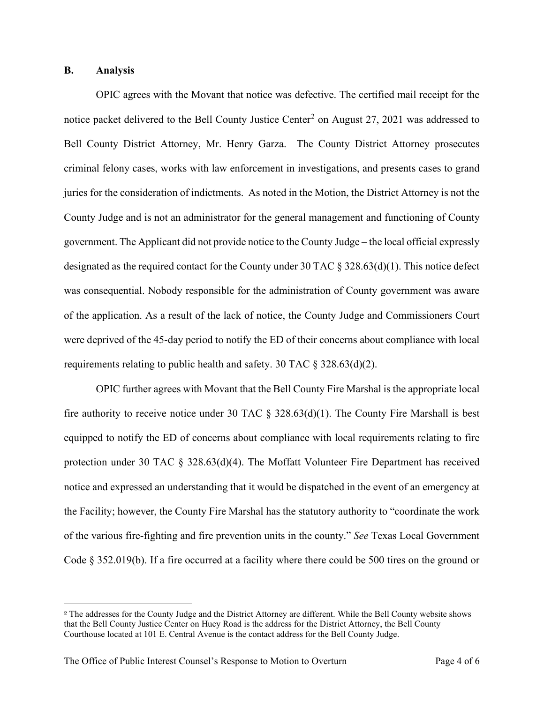#### **B. Analysis**

OPIC agrees with the Movant that notice was defective. The certified mail receipt for the notice packet delivered to the Bell County Justice Center<sup>[2](#page-4-0)</sup> on August 27, 2021 was addressed to Bell County District Attorney, Mr. Henry Garza. The County District Attorney prosecutes criminal felony cases, works with law enforcement in investigations, and presents cases to grand juries for the consideration of indictments. As noted in the Motion, the District Attorney is not the County Judge and is not an administrator for the general management and functioning of County government. The Applicant did not provide notice to the County Judge – the local official expressly designated as the required contact for the County under 30 TAC § 328.63(d)(1). This notice defect was consequential. Nobody responsible for the administration of County government was aware of the application. As a result of the lack of notice, the County Judge and Commissioners Court were deprived of the 45-day period to notify the ED of their concerns about compliance with local requirements relating to public health and safety. 30 TAC  $\S$  328.63(d)(2).

OPIC further agrees with Movant that the Bell County Fire Marshal is the appropriate local fire authority to receive notice under 30 TAC  $\S$  328.63(d)(1). The County Fire Marshall is best equipped to notify the ED of concerns about compliance with local requirements relating to fire protection under 30 TAC § 328.63(d)(4). The Moffatt Volunteer Fire Department has received notice and expressed an understanding that it would be dispatched in the event of an emergency at the Facility; however, the County Fire Marshal has the statutory authority to "coordinate the work of the various fire-fighting and fire prevention units in the county." *See* Texas Local Government Code § 352.019(b). If a fire occurred at a facility where there could be 500 tires on the ground or

<span id="page-4-0"></span><sup>2</sup> The addresses for the County Judge and the District Attorney are different. While the Bell County website shows that the Bell County Justice Center on Huey Road is the address for the District Attorney, the Bell County Courthouse located at 101 E. Central Avenue is the contact address for the Bell County Judge.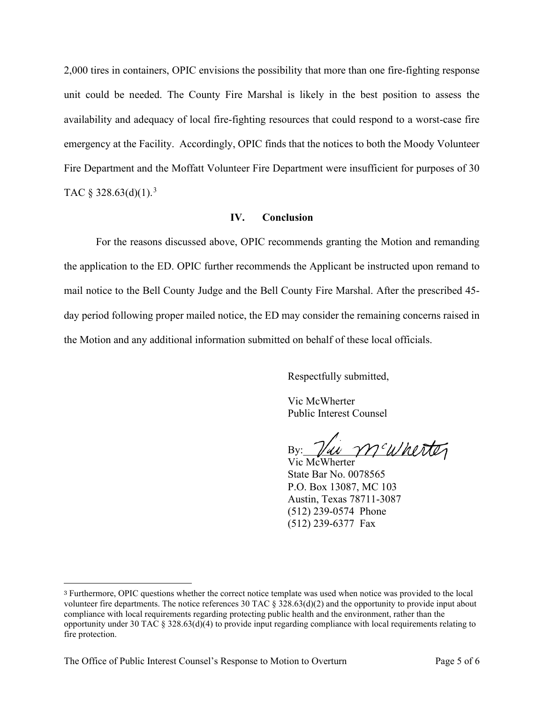2,000 tires in containers, OPIC envisions the possibility that more than one fire-fighting response unit could be needed. The County Fire Marshal is likely in the best position to assess the availability and adequacy of local fire-fighting resources that could respond to a worst-case fire emergency at the Facility. Accordingly, OPIC finds that the notices to both the Moody Volunteer Fire Department and the Moffatt Volunteer Fire Department were insufficient for purposes of 30 TAC § [3](#page-5-0)28.63(d)(1).<sup>3</sup>

#### **IV. Conclusion**

For the reasons discussed above, OPIC recommends granting the Motion and remanding the application to the ED. OPIC further recommends the Applicant be instructed upon remand to mail notice to the Bell County Judge and the Bell County Fire Marshal. After the prescribed 45 day period following proper mailed notice, the ED may consider the remaining concerns raised in the Motion and any additional information submitted on behalf of these local officials.

Respectfully submitted,

Vic McWherter Public Interest Counsel

 $B$ y:  $\mathcal{V}u$  m'wherter

Vic McWherter State Bar No. 0078565 P.O. Box 13087, MC 103 Austin, Texas 78711-3087 (512) 239-0574 Phone (512) 239-6377 Fax

<span id="page-5-0"></span><sup>3</sup> Furthermore, OPIC questions whether the correct notice template was used when notice was provided to the local volunteer fire departments. The notice references 30 TAC § 328.63(d)(2) and the opportunity to provide input about compliance with local requirements regarding protecting public health and the environment, rather than the opportunity under 30 TAC § 328.63(d)(4) to provide input regarding compliance with local requirements relating to fire protection.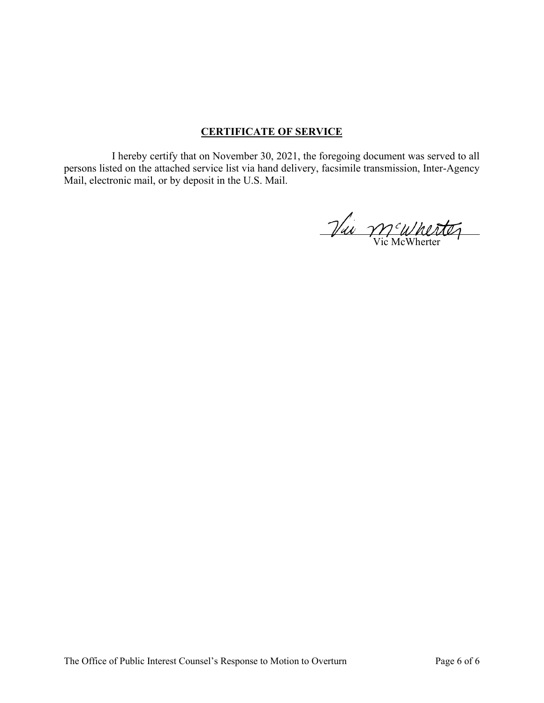## **CERTIFICATE OF SERVICE**

I hereby certify that on November 30, 2021, the foregoing document was served to all persons listed on the attached service list via hand delivery, facsimile transmission, Inter-Agency Mail, electronic mail, or by deposit in the U.S. Mail.

Vic M<sup>c</sup>Wherter  $\ddot{\phantom{0}}$